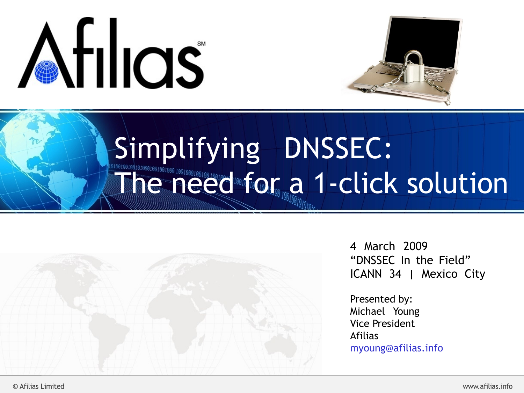



### Simplifying DNSSEC: The need for a 1-click solution



4 March 2009 "DNSSEC In the Field" ICANN 34 | Mexico City

Presented by: Michael Young Vice President Afilias [myoung@afilias.info](mailto:myoung@afilias.info)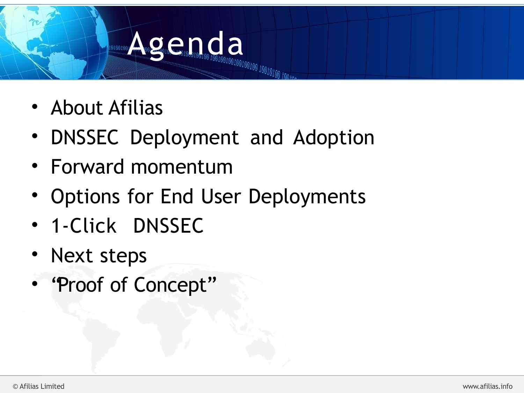# **Agence Agence Agence Indication Indication Indication**

- About Afilias
- DNSSEC Deployment and Adoption
- Forward momentum
- Options for End User Deployments
- · 1-Click DNSSEC
- Next steps
- "Proof of Concept"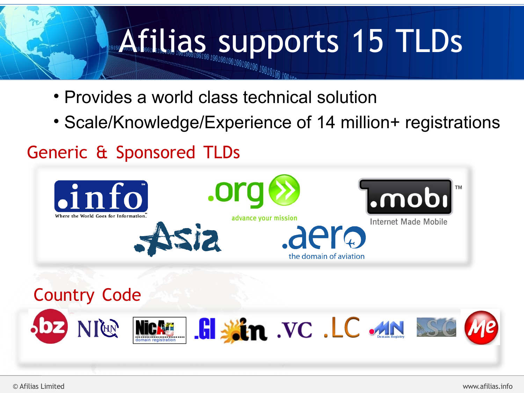# **Afilias supports 15 TLDs**

- Provides a world class technical solution
- Scale/Knowledge/Experience of 14 million+ registrations

#### Generic & Sponsored TLDs

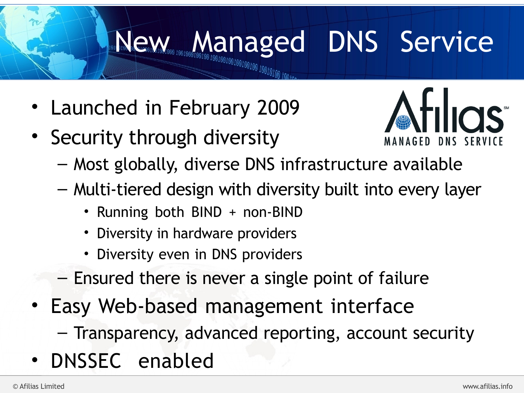### **New Managed DNS Service**

- Launched in February 2009
- Security through diversity



- Most globally, diverse DNS infrastructure available
- Multi-tiered design with diversity built into every layer
	- Running both BIND + non-BIND
	- Diversity in hardware providers
	- Diversity even in DNS providers
- Ensured there is never a single point of failure
- Easy Web-based management interface
	- Transparency, advanced reporting, account security
- DNSSEC enabled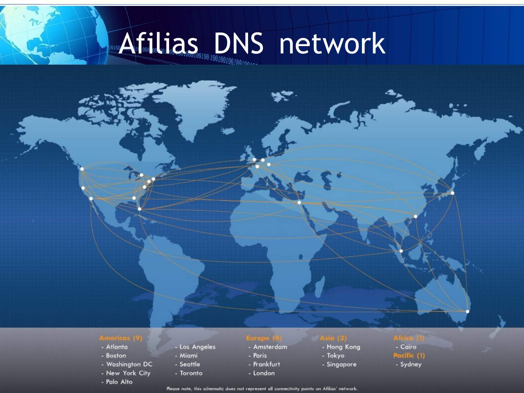## **Afilias DNS network**

- Atlanta
- Boston
- Washington DC
- New York City
- 
- 
- 
- 
- Toronto
- 
- Los Angeles
- Miami
- Seattle
- 
- 

- Amsterdam
- Paris - Frankfurt
- London

- Hong Kong
- Tokyo
- Singapore

#### - Cairo

- Pacific (1)
- Sydney
- Palo Alto<br>Bease note, this schematic does not represent all connectivity points on Afilias' network.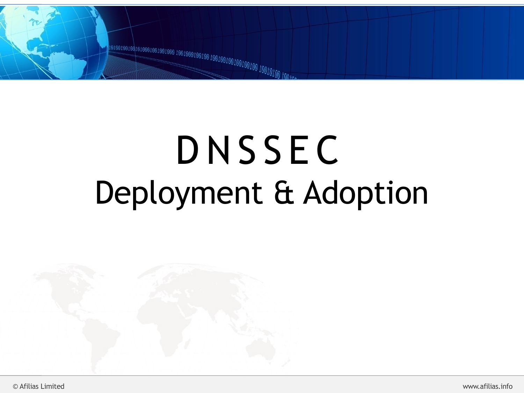

## D N S S E C Deployment & Adoption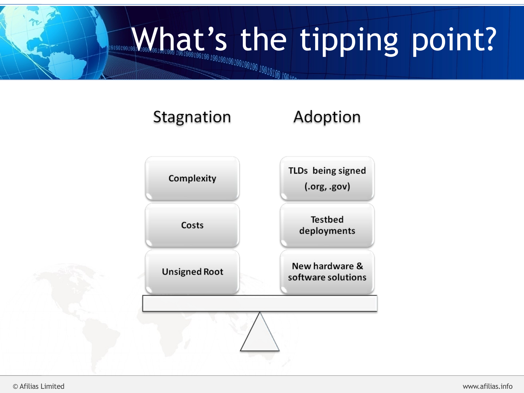# What's the tipping point?

#### Stagnation Adoption

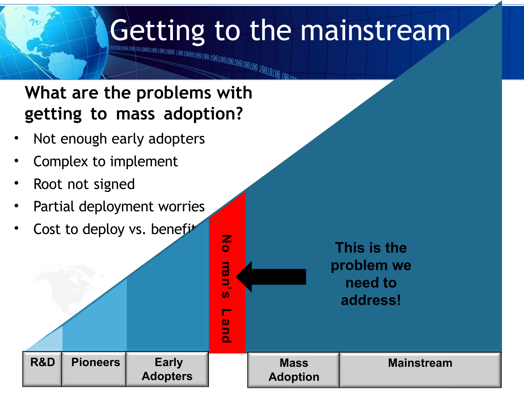# Getting to the mainstream

© Afilias Limited www.afilias.info

**N o**

**ma**

**n's**

**L a n d**

**Mass** 

**Adoption**

#### **What are the problems with getting to mass adoption?**

- Not enough early adopters
- Complex to implement
- Root not signed
- Partial deployment worries
- Cost to deploy vs. benefit

**R&D Pioneers Early** 

**Adopters**

**This is the problem we need to address!**

**Mainstream**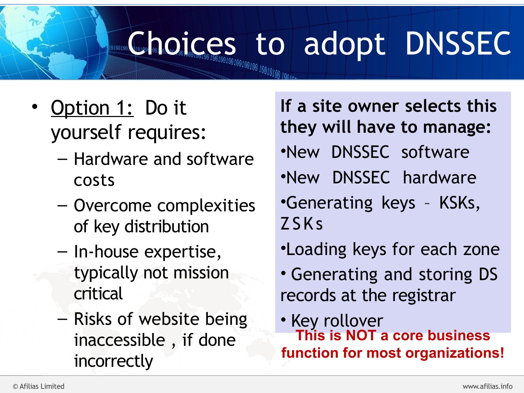# **Choices** to adopt DNSSEC

- Option 1: Do it yourself requires:
	- Hardware and software costs
	- Overcome complexities of key distribution
	- In-house expertise, typically not mission critical
	- Risks of website being inaccessible , if done incorrectly

**If a site owner selects this they will have to manage:** •New DNSSEC software •New DNSSEC hardware •Generating keys – KSKs, ZSKs •Loading keys for each zone

• Generating and storing DS records at the registrar

• Key rollover **This is NOT a core business function for most organizations!**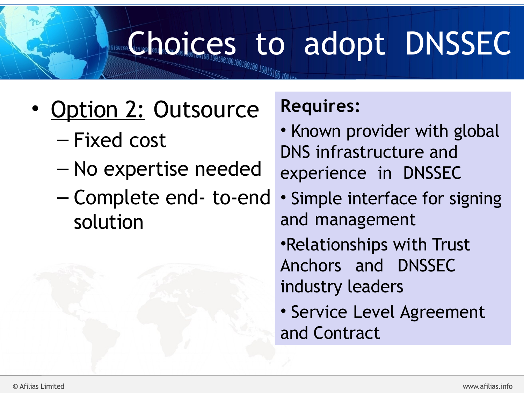# **Change of October 2016 Concessed to adopt DNSSEC**

- Option 2: Outsource
	- Fixed cost
	- No expertise needed
	- Complete end- to-end solution

#### **Requires:**

- Known provider with global DNS infrastructure and experience in DNSSEC
- Simple interface for signing and management
- •Relationships with Trust Anchors and DNSSEC industry leaders
- Service Level Agreement and Contract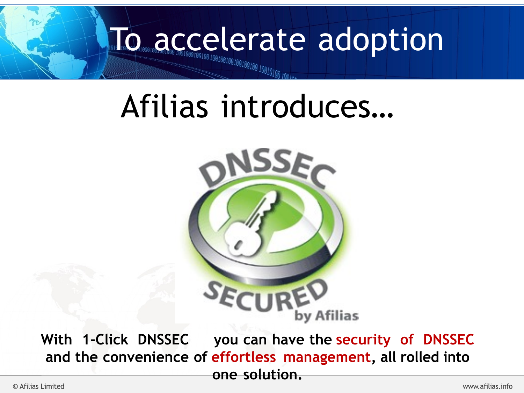# To accelerate adoption

### Afilias introduces…



With 1-Click DNSSEC you can have the security of DNSSEC **and the convenience of effortless management, all rolled into one solution.**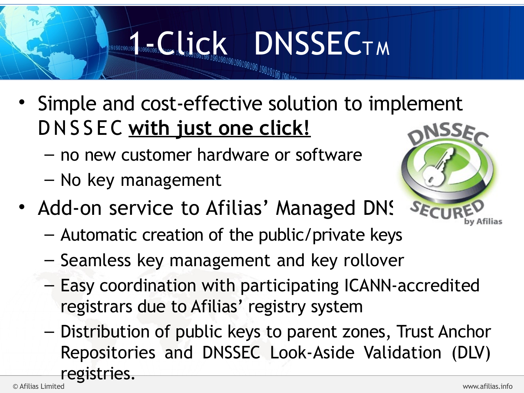# **10001001 COLOR DECTM**

- Simple and cost-effective solution to implement D N S S E C **with just one click!**
	- no new customer hardware or software
	- No key management



- Add-on service to Afilias' Managed DNS
	- Automatic creation of the public/private keys
	- Seamless key management and key rollover
	- Easy coordination with participating ICANN-accredited registrars due to Afilias' registry system
- Distribution of public keys to parent zones, Trust Anchor Repositories and DNSSEC Look-Aside Validation (DLV) registries.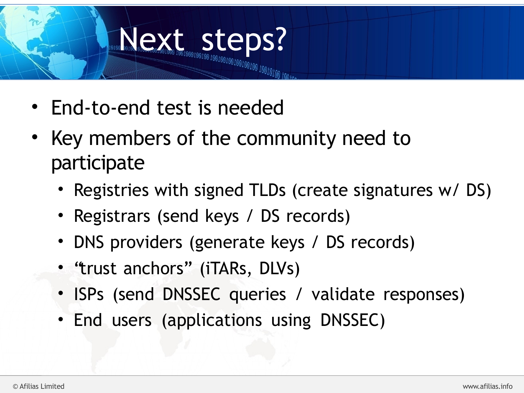# Next steps on the ps?

- End-to-end test is needed
- Key members of the community need to participate
	- Registries with signed TLDs (create signatures w/ DS)
	- Registrars (send keys / DS records)
	- DNS providers (generate keys / DS records)
	- "trust anchors" (iTARs, DLVs)
	- ISPs (send DNSSEC queries / validate responses)
	- End users (applications using DNSSEC)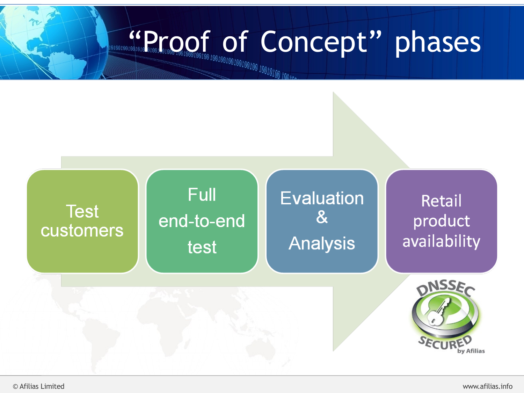# **EXPLOGE of Concept" phases**

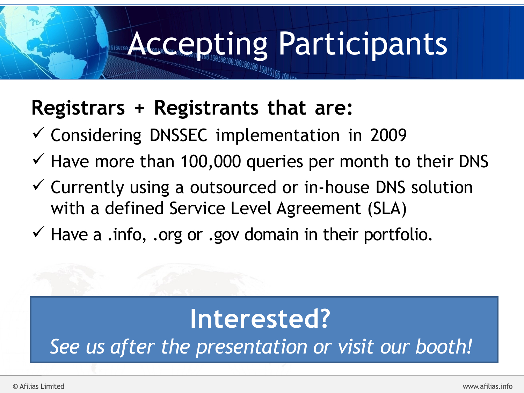### **Accepting Participants**

### **Registrars + Registrants that are:**

- $\checkmark$  Considering DNSSEC implementation in 2009
- $\checkmark$  Have more than 100,000 queries per month to their DNS
- $\checkmark$  Currently using a outsourced or in-house DNS solution with a defined Service Level Agreement (SLA)
- $\checkmark$  Have a .info, .org or .gov domain in their portfolio.

### **Interested?**

*See us after the presentation or visit our booth!*